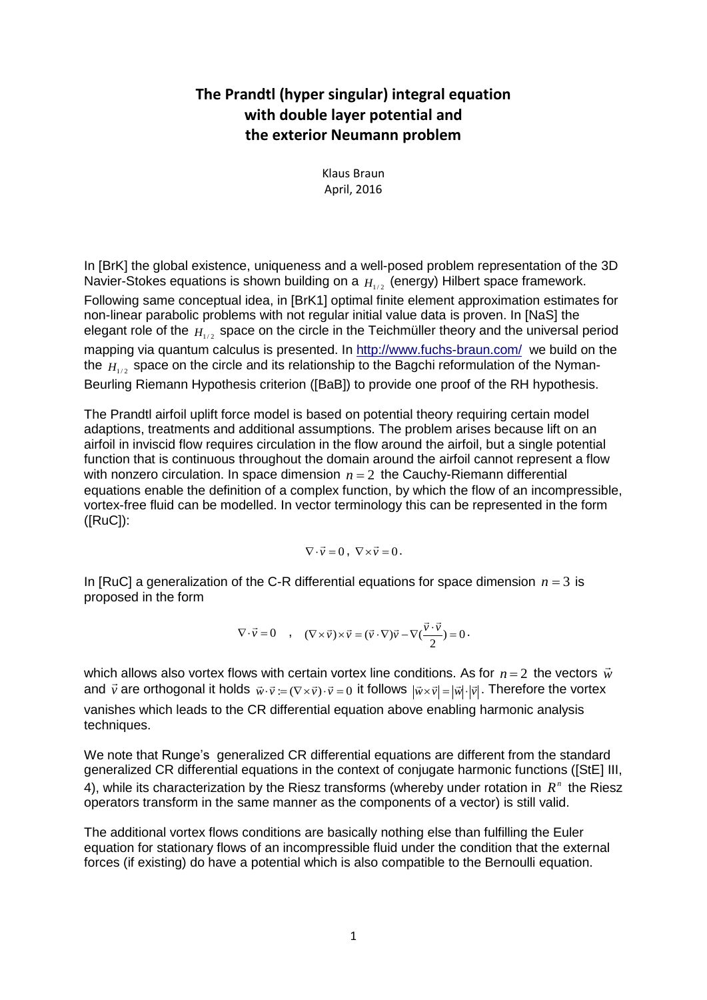## **The Prandtl (hyper singular) integral equation with double layer potential and the exterior Neumann problem**

Klaus Braun April, 2016

In [BrK] the global existence, uniqueness and a well-posed problem representation of the 3D Navier-Stokes equations is shown building on a  $_{H_{1/2}}$  (energy) Hilbert space framework. Following same conceptual idea, in [BrK1] optimal finite element approximation estimates for non-linear parabolic problems with not regular initial value data is proven. In [NaS] the elegant role of the  $H_{1/2}$  space on the circle in the Teichmüller theory and the universal period mapping via quantum calculus is presented. In<http://www.fuchs-braun.com/> we build on the the  $H_{1/2}$  space on the circle and its relationship to the Bagchi reformulation of the Nyman-Beurling Riemann Hypothesis criterion ([BaB]) to provide one proof of the RH hypothesis.

The Prandtl airfoil uplift force model is based on potential theory requiring certain model adaptions, treatments and additional assumptions. The problem arises because lift on an airfoil in inviscid flow requires circulation in the flow around the airfoil, but a single potential function that is continuous throughout the domain around the airfoil cannot represent a flow with nonzero circulation. In space dimension  $n = 2$  the Cauchy-Riemann differential equations enable the definition of a complex function, by which the flow of an incompressible, vortex-free fluid can be modelled. In vector terminology this can be represented in the form ([RuC]):

$$
\nabla \cdot \vec{v} = 0 \,, \ \nabla \times \vec{v} = 0 \,.
$$

In [RuC] a generalization of the C-R differential equations for space dimension  $n = 3$  is proposed in the form

$$
\nabla \cdot \vec{v} = 0 \quad , \quad (\nabla \times \vec{v}) \times \vec{v} = (\vec{v} \cdot \nabla) \vec{v} - \nabla (\frac{\vec{v} \cdot \vec{v}}{2}) = 0
$$

which allows also vortex flows with certain vortex line conditions. As for  $n\!=\!2\,$  the vectors  $\vec{w}$ and  $\vec{v}$  are orthogonal it holds  $\vec{w}\cdot\vec{v} := (\nabla\times\vec{v})\cdot\vec{v} = 0$  it follows  $|\vec{w}\times\vec{v}| = |\vec{w}|\cdot|\vec{v}|$ . Therefore the vortex vanishes which leads to the CR differential equation above enabling harmonic analysis techniques.

We note that Runge's generalized CR differential equations are different from the standard generalized CR differential equations in the context of conjugate harmonic functions ([StE] III, 4), while its characterization by the Riesz transforms (whereby under rotation in  $R<sup>n</sup>$  the Riesz operators transform in the same manner as the components of a vector) is still valid.

The additional vortex flows conditions are basically nothing else than fulfilling the Euler equation for stationary flows of an incompressible fluid under the condition that the external forces (if existing) do have a potential which is also compatible to the Bernoulli equation.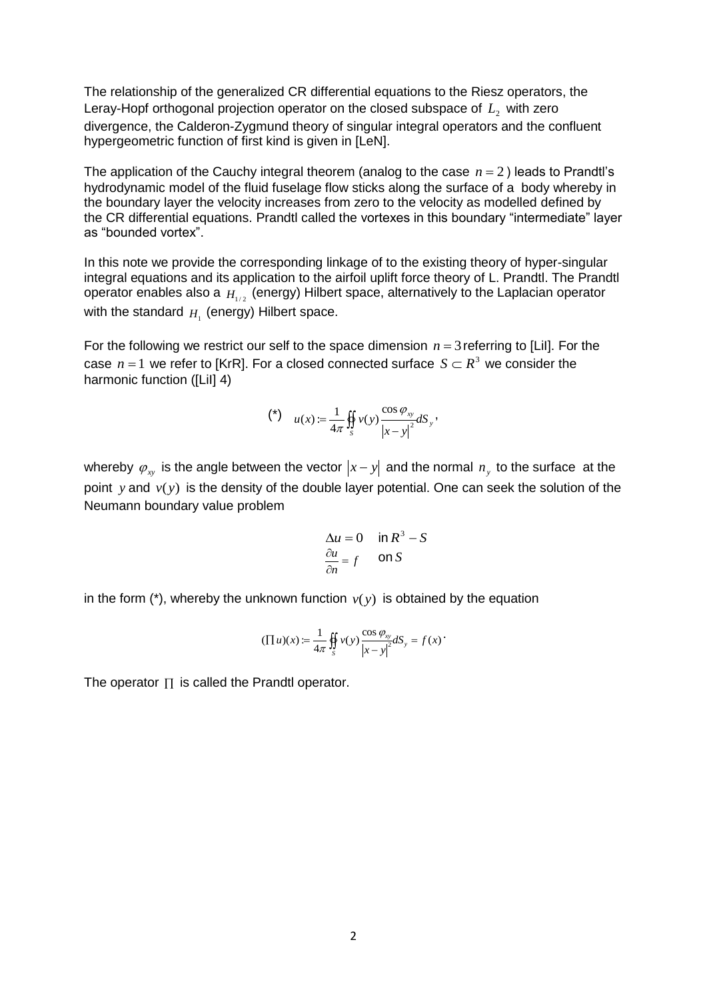The relationship of the generalized CR differential equations to the Riesz operators, the Leray-Hopf orthogonal projection operator on the closed subspace of  $L_{\scriptscriptstyle 2}$  with zero divergence, the Calderon-Zygmund theory of singular integral operators and the confluent hypergeometric function of first kind is given in [LeN].

The application of the Cauchy integral theorem (analog to the case  $n = 2$ ) leads to Prandtl's hydrodynamic model of the fluid fuselage flow sticks along the surface of a body whereby in the boundary layer the velocity increases from zero to the velocity as modelled defined by the CR differential equations. Prandtl called the vortexes in this boundary "intermediate" layer as "bounded vortex".

In this note we provide the corresponding linkage of to the existing theory of hyper-singular integral equations and its application to the airfoil uplift force theory of L. Prandtl. The Prandtl operator enables also a  $H_{1/2}$  (energy) Hilbert space, alternatively to the Laplacian operator with the standard  $_{H_1}$  (energy) Hilbert space.

For the following we restrict our self to the space dimension  $n = 3$  referring to [Lil]. For the case  $n = 1$  we refer to [KrR]. For a closed connected surface  $S \subset R^3$  we consider the harmonic function ([Lil] 4)

$$
(*)\qquad u(x) := \frac{1}{4\pi} \iint_{S} v(y) \frac{\cos \varphi_{xy}}{|x - y|^2} dS_y,
$$

whereby  $\varphi_{xy}$  is the angle between the vector  $|x-y|$  and the normal  $n_y$  to the surface at the point y and  $v(y)$  is the density of the double layer potential. One can seek the solution of the Neumann boundary value problem

$$
\Delta u = 0 \quad \text{in } R^3 - S
$$

$$
\frac{\partial u}{\partial n} = f \quad \text{on } S
$$

in the form  $(*)$ , whereby the unknown function  $v(y)$  is obtained by the equation

$$
(\prod u)(x) := \frac{1}{4\pi} \oiint_{S} v(y) \frac{\cos \varphi_{xy}}{|x - y|^{2}} dS_{y} = f(x)
$$

The operator  $\Pi$  is called the Prandtl operator.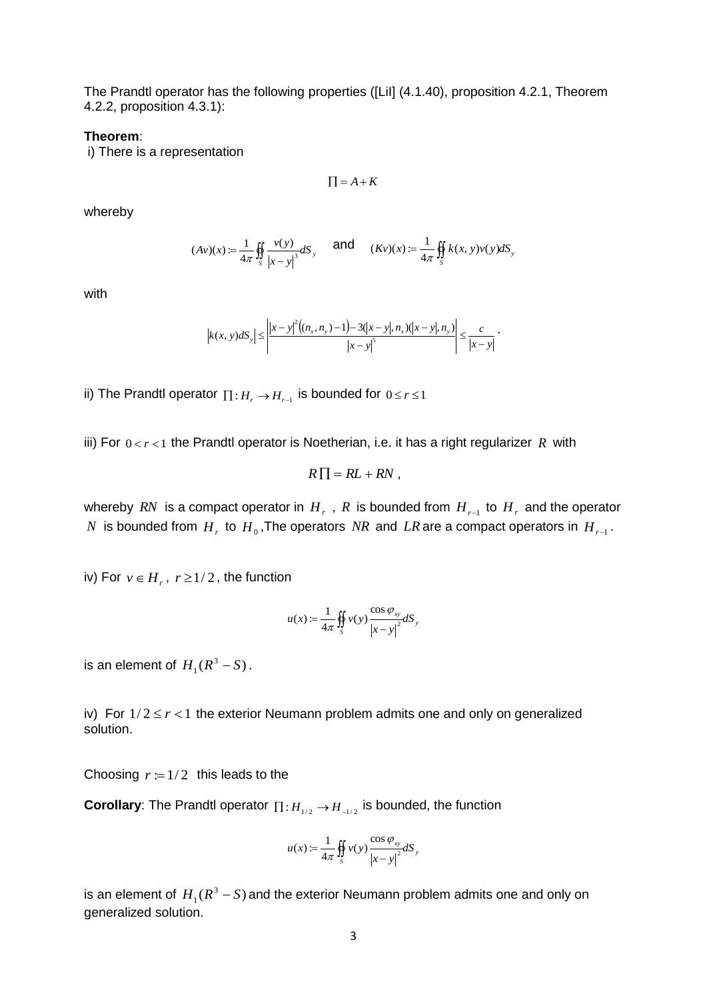The Prandtl operator has the following properties ([LiI] (4.1.40), proposition 4.2.1, Theorem 4.2.2, proposition 4.3.1):

## **Theorem**:

i) There is a representation

$$
\prod = A + K
$$

whereby

$$
(Av)(x) := \frac{1}{4\pi} \iint_{S} \frac{v(y)}{|x - y|^3} dS_y \quad \text{and} \quad (Kv)(x) := \frac{1}{4\pi} \iint_{S} k(x, y)v(y) dS_y
$$

with

$$
\left|k(x, y) dS_y\right| \le \left|\frac{|x - y|^2((n_x, n_y) - 1) - 3(|x - y|, n_x)(|x - y|, n_y)|}{|x - y|^5}\right| \le \frac{c}{|x - y|}.
$$

ii) The Prandtl operator  $\prod : H_{r} \to H_{r-1}$  is bounded for  $0 \leq r \leq 1$ 

iii) For  $0 < r < 1$  the Prandtl operator is Noetherian, i.e. it has a right regularizer R with

$$
R\prod = RL + RN,
$$

whereby  $\emph{RN}$  is a compact operator in  $\emph{H}$  ,  $\emph{R}$  is bounded from  $\emph{H}$  ,  $_{r-1}$  to  $\emph{H}$  , and the operator  $N$  is bounded from  $H_{r}$  to  $H_{0}$ ,The operators  $NR$  and  $LR$  are a compact operators in  $H_{r-1}$ .

iv) For  $v \in H_r$ ,  $r \geq 1/2$ , the function

$$
u(x) := \frac{1}{4\pi} \iint_{S} v(y) \frac{\cos \varphi_{xy}}{\left|x - y\right|^2} dS_y
$$

is an element of  $H_1(R^3-S)$ .

iv) For  $1/2 \le r < 1$  the exterior Neumann problem admits one and only on generalized solution.

Choosing  $r := 1/2$  this leads to the

**Corollary**: The Prandtl operator  $\prod : H_{1/2} \rightarrow H_{-1/2}$  is bounded, the function

$$
u(x) := \frac{1}{4\pi} \iint_{S} v(y) \frac{\cos \varphi_{xy}}{|x - y|^{2}} dS_{y}
$$

is an element of  $H_1(R^3 - S)$  and the exterior Neumann problem admits one and only on generalized solution.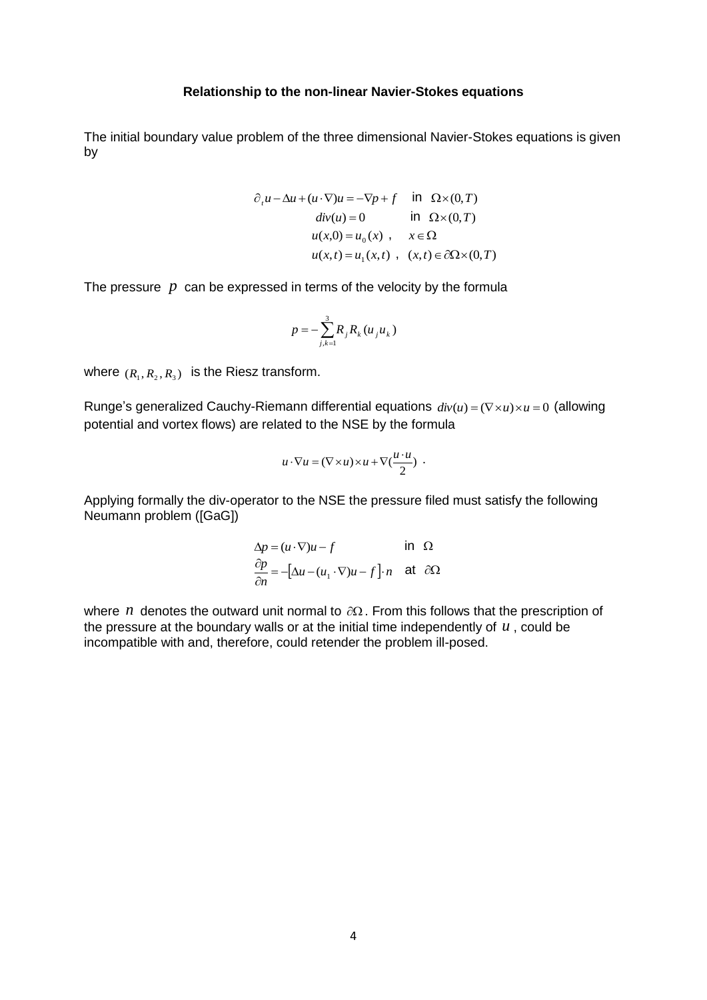## **Relationship to the non-linear Navier-Stokes equations**

The initial boundary value problem of the three dimensional Navier-Stokes equations is given by

$$
\partial_t u - \Delta u + (u \cdot \nabla)u = -\nabla p + f \quad \text{in} \quad \Omega \times (0, T)
$$
  
\n
$$
div(u) = 0 \quad \text{in} \quad \Omega \times (0, T)
$$
  
\n
$$
u(x, 0) = u_0(x) , \quad x \in \Omega
$$
  
\n
$$
u(x, t) = u_1(x, t) , \quad (x, t) \in \partial\Omega \times (0, T)
$$

The pressure  $\bar{p}$  can be expressed in terms of the velocity by the formula

$$
p = -\sum_{j,k=1}^{3} R_{j} R_{k} (u_{j} u_{k})
$$

where  $(R_1, R_2, R_3)$  is the Riesz transform.

Runge's generalized Cauchy-Riemann differential equations  $div(u) = (\nabla \times u) \times u = 0$  (allowing potential and vortex flows) are related to the NSE by the formula

$$
u \cdot \nabla u = (\nabla \times u) \times u + \nabla (\frac{u \cdot u}{2}) \cdot
$$

Applying formally the div-operator to the NSE the pressure filed must satisfy the following Neumann problem ([GaG])

$$
\Delta p = (u \cdot \nabla)u - f \qquad \text{in } \Omega
$$
  

$$
\frac{\partial p}{\partial n} = -[\Delta u - (u_1 \cdot \nabla)u - f] \cdot n \quad \text{at } \partial \Omega
$$

where  $n$  denotes the outward unit normal to  $\partial\Omega$ . From this follows that the prescription of the pressure at the boundary walls or at the initial time independently of  $u$ , could be incompatible with and, therefore, could retender the problem ill-posed.